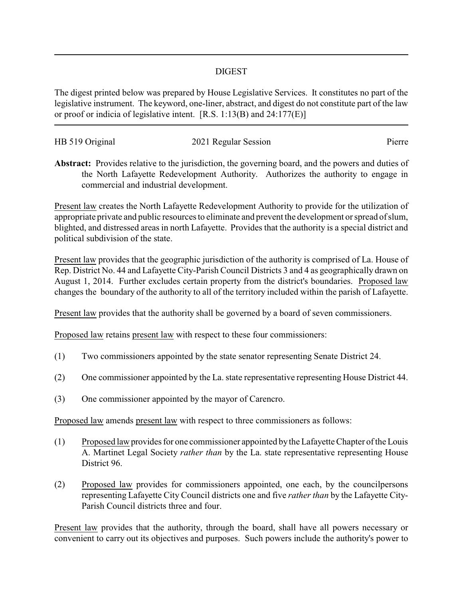## DIGEST

The digest printed below was prepared by House Legislative Services. It constitutes no part of the legislative instrument. The keyword, one-liner, abstract, and digest do not constitute part of the law or proof or indicia of legislative intent. [R.S. 1:13(B) and 24:177(E)]

| HB 519 Original | 2021 Regular Session | Pierre |
|-----------------|----------------------|--------|
|                 |                      |        |

**Abstract:** Provides relative to the jurisdiction, the governing board, and the powers and duties of the North Lafayette Redevelopment Authority. Authorizes the authority to engage in commercial and industrial development.

Present law creates the North Lafayette Redevelopment Authority to provide for the utilization of appropriate private and public resources to eliminate and prevent the development or spread of slum, blighted, and distressed areas in north Lafayette. Provides that the authority is a special district and political subdivision of the state.

Present law provides that the geographic jurisdiction of the authority is comprised of La. House of Rep. District No. 44 and Lafayette City-Parish Council Districts 3 and 4 as geographically drawn on August 1, 2014. Further excludes certain property from the district's boundaries. Proposed law changes the boundary of the authority to all of the territory included within the parish of Lafayette.

Present law provides that the authority shall be governed by a board of seven commissioners.

Proposed law retains present law with respect to these four commissioners:

- (1) Two commissioners appointed by the state senator representing Senate District 24.
- (2) One commissioner appointed by the La. state representative representing House District 44.
- (3) One commissioner appointed by the mayor of Carencro.

Proposed law amends present law with respect to three commissioners as follows:

- (1) Proposed lawprovides for one commissioner appointed bythe Lafayette Chapter of the Louis A. Martinet Legal Society *rather than* by the La. state representative representing House District 96.
- (2) Proposed law provides for commissioners appointed, one each, by the councilpersons representing Lafayette City Council districts one and five *rather than* by the Lafayette City-Parish Council districts three and four.

Present law provides that the authority, through the board, shall have all powers necessary or convenient to carry out its objectives and purposes. Such powers include the authority's power to